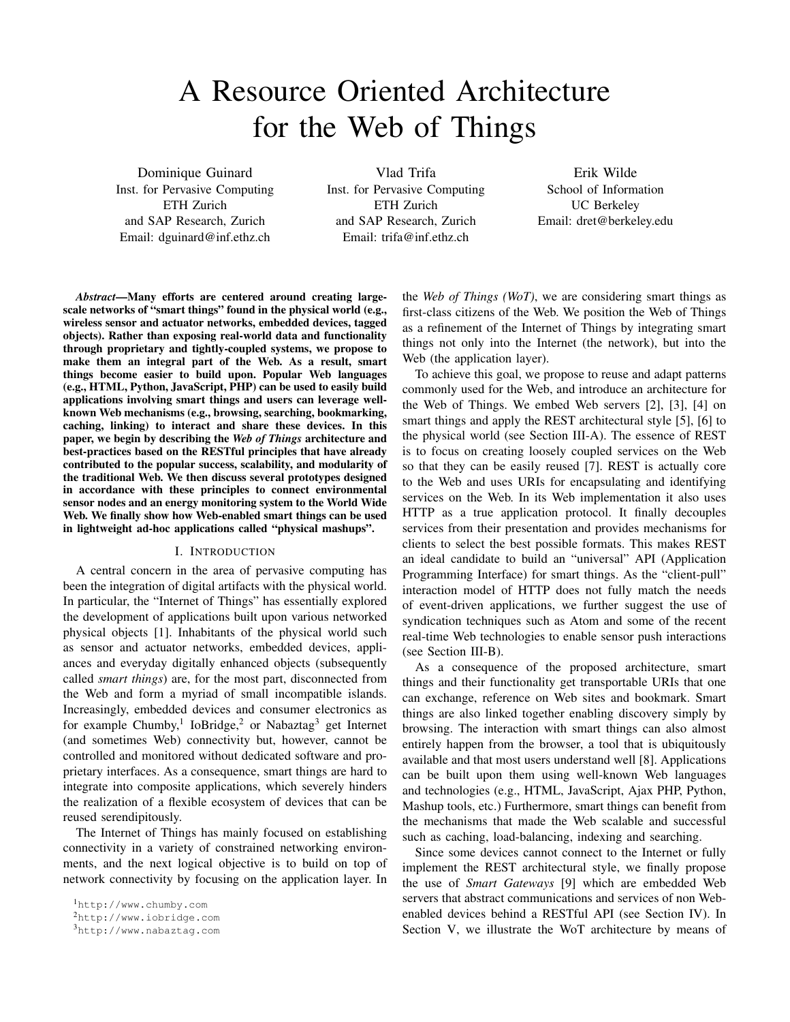# A Resource Oriented Architecture for the Web of Things

Dominique Guinard Inst. for Pervasive Computing ETH Zurich and SAP Research, Zurich Email: dguinard@inf.ethz.ch

Vlad Trifa Inst. for Pervasive Computing ETH Zurich and SAP Research, Zurich Email: trifa@inf.ethz.ch

Erik Wilde School of Information UC Berkeley Email: dret@berkeley.edu

*Abstract*—Many efforts are centered around creating largescale networks of "smart things" found in the physical world (e.g., wireless sensor and actuator networks, embedded devices, tagged objects). Rather than exposing real-world data and functionality through proprietary and tightly-coupled systems, we propose to make them an integral part of the Web. As a result, smart things become easier to build upon. Popular Web languages (e.g., HTML, Python, JavaScript, PHP) can be used to easily build applications involving smart things and users can leverage wellknown Web mechanisms (e.g., browsing, searching, bookmarking, caching, linking) to interact and share these devices. In this paper, we begin by describing the *Web of Things* architecture and best-practices based on the RESTful principles that have already contributed to the popular success, scalability, and modularity of the traditional Web. We then discuss several prototypes designed in accordance with these principles to connect environmental sensor nodes and an energy monitoring system to the World Wide Web. We finally show how Web-enabled smart things can be used in lightweight ad-hoc applications called "physical mashups".

# I. INTRODUCTION

A central concern in the area of pervasive computing has been the integration of digital artifacts with the physical world. In particular, the "Internet of Things" has essentially explored the development of applications built upon various networked physical objects [1]. Inhabitants of the physical world such as sensor and actuator networks, embedded devices, appliances and everyday digitally enhanced objects (subsequently called *smart things*) are, for the most part, disconnected from the Web and form a myriad of small incompatible islands. Increasingly, embedded devices and consumer electronics as for example Chumby,<sup>1</sup> IoBridge,<sup>2</sup> or Nabaztag<sup>3</sup> get Internet (and sometimes Web) connectivity but, however, cannot be controlled and monitored without dedicated software and proprietary interfaces. As a consequence, smart things are hard to integrate into composite applications, which severely hinders the realization of a flexible ecosystem of devices that can be reused serendipitously.

The Internet of Things has mainly focused on establishing connectivity in a variety of constrained networking environments, and the next logical objective is to build on top of network connectivity by focusing on the application layer. In the *Web of Things (WoT)*, we are considering smart things as first-class citizens of the Web. We position the Web of Things as a refinement of the Internet of Things by integrating smart things not only into the Internet (the network), but into the Web (the application layer).

To achieve this goal, we propose to reuse and adapt patterns commonly used for the Web, and introduce an architecture for the Web of Things. We embed Web servers [2], [3], [4] on smart things and apply the REST architectural style [5], [6] to the physical world (see Section III-A). The essence of REST is to focus on creating loosely coupled services on the Web so that they can be easily reused [7]. REST is actually core to the Web and uses URIs for encapsulating and identifying services on the Web. In its Web implementation it also uses HTTP as a true application protocol. It finally decouples services from their presentation and provides mechanisms for clients to select the best possible formats. This makes REST an ideal candidate to build an "universal" API (Application Programming Interface) for smart things. As the "client-pull" interaction model of HTTP does not fully match the needs of event-driven applications, we further suggest the use of syndication techniques such as Atom and some of the recent real-time Web technologies to enable sensor push interactions (see Section III-B).

As a consequence of the proposed architecture, smart things and their functionality get transportable URIs that one can exchange, reference on Web sites and bookmark. Smart things are also linked together enabling discovery simply by browsing. The interaction with smart things can also almost entirely happen from the browser, a tool that is ubiquitously available and that most users understand well [8]. Applications can be built upon them using well-known Web languages and technologies (e.g., HTML, JavaScript, Ajax PHP, Python, Mashup tools, etc.) Furthermore, smart things can benefit from the mechanisms that made the Web scalable and successful such as caching, load-balancing, indexing and searching.

Since some devices cannot connect to the Internet or fully implement the REST architectural style, we finally propose the use of *Smart Gateways* [9] which are embedded Web servers that abstract communications and services of non Webenabled devices behind a RESTful API (see Section IV). In Section V, we illustrate the WoT architecture by means of

<sup>1</sup>http://www.chumby.com

<sup>2</sup>http://www.iobridge.com

<sup>3</sup>http://www.nabaztag.com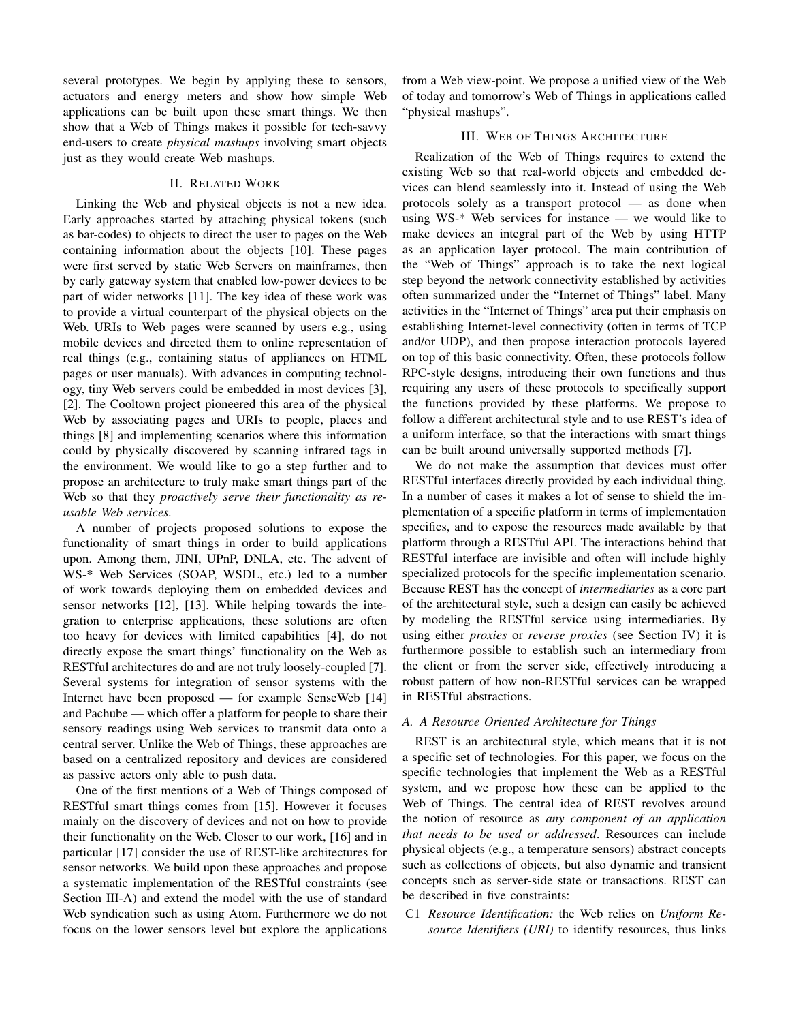several prototypes. We begin by applying these to sensors, actuators and energy meters and show how simple Web applications can be built upon these smart things. We then show that a Web of Things makes it possible for tech-savvy end-users to create *physical mashups* involving smart objects just as they would create Web mashups.

## II. RELATED WORK

Linking the Web and physical objects is not a new idea. Early approaches started by attaching physical tokens (such as bar-codes) to objects to direct the user to pages on the Web containing information about the objects [10]. These pages were first served by static Web Servers on mainframes, then by early gateway system that enabled low-power devices to be part of wider networks [11]. The key idea of these work was to provide a virtual counterpart of the physical objects on the Web. URIs to Web pages were scanned by users e.g., using mobile devices and directed them to online representation of real things (e.g., containing status of appliances on HTML pages or user manuals). With advances in computing technology, tiny Web servers could be embedded in most devices [3], [2]. The Cooltown project pioneered this area of the physical Web by associating pages and URIs to people, places and things [8] and implementing scenarios where this information could by physically discovered by scanning infrared tags in the environment. We would like to go a step further and to propose an architecture to truly make smart things part of the Web so that they *proactively serve their functionality as reusable Web services.*

A number of projects proposed solutions to expose the functionality of smart things in order to build applications upon. Among them, JINI, UPnP, DNLA, etc. The advent of WS-\* Web Services (SOAP, WSDL, etc.) led to a number of work towards deploying them on embedded devices and sensor networks [12], [13]. While helping towards the integration to enterprise applications, these solutions are often too heavy for devices with limited capabilities [4], do not directly expose the smart things' functionality on the Web as RESTful architectures do and are not truly loosely-coupled [7]. Several systems for integration of sensor systems with the Internet have been proposed — for example SenseWeb [14] and Pachube — which offer a platform for people to share their sensory readings using Web services to transmit data onto a central server. Unlike the Web of Things, these approaches are based on a centralized repository and devices are considered as passive actors only able to push data.

One of the first mentions of a Web of Things composed of RESTful smart things comes from [15]. However it focuses mainly on the discovery of devices and not on how to provide their functionality on the Web. Closer to our work, [16] and in particular [17] consider the use of REST-like architectures for sensor networks. We build upon these approaches and propose a systematic implementation of the RESTful constraints (see Section III-A) and extend the model with the use of standard Web syndication such as using Atom. Furthermore we do not focus on the lower sensors level but explore the applications from a Web view-point. We propose a unified view of the Web of today and tomorrow's Web of Things in applications called "physical mashups".

## III. WEB OF THINGS ARCHITECTURE

Realization of the Web of Things requires to extend the existing Web so that real-world objects and embedded devices can blend seamlessly into it. Instead of using the Web protocols solely as a transport protocol — as done when using WS-\* Web services for instance — we would like to make devices an integral part of the Web by using HTTP as an application layer protocol. The main contribution of the "Web of Things" approach is to take the next logical step beyond the network connectivity established by activities often summarized under the "Internet of Things" label. Many activities in the "Internet of Things" area put their emphasis on establishing Internet-level connectivity (often in terms of TCP and/or UDP), and then propose interaction protocols layered on top of this basic connectivity. Often, these protocols follow RPC-style designs, introducing their own functions and thus requiring any users of these protocols to specifically support the functions provided by these platforms. We propose to follow a different architectural style and to use REST's idea of a uniform interface, so that the interactions with smart things can be built around universally supported methods [7].

We do not make the assumption that devices must offer RESTful interfaces directly provided by each individual thing. In a number of cases it makes a lot of sense to shield the implementation of a specific platform in terms of implementation specifics, and to expose the resources made available by that platform through a RESTful API. The interactions behind that RESTful interface are invisible and often will include highly specialized protocols for the specific implementation scenario. Because REST has the concept of *intermediaries* as a core part of the architectural style, such a design can easily be achieved by modeling the RESTful service using intermediaries. By using either *proxies* or *reverse proxies* (see Section IV) it is furthermore possible to establish such an intermediary from the client or from the server side, effectively introducing a robust pattern of how non-RESTful services can be wrapped in RESTful abstractions.

## *A. A Resource Oriented Architecture for Things*

REST is an architectural style, which means that it is not a specific set of technologies. For this paper, we focus on the specific technologies that implement the Web as a RESTful system, and we propose how these can be applied to the Web of Things. The central idea of REST revolves around the notion of resource as *any component of an application that needs to be used or addressed*. Resources can include physical objects (e.g., a temperature sensors) abstract concepts such as collections of objects, but also dynamic and transient concepts such as server-side state or transactions. REST can be described in five constraints:

C1 *Resource Identification:* the Web relies on *Uniform Resource Identifiers (URI)* to identify resources, thus links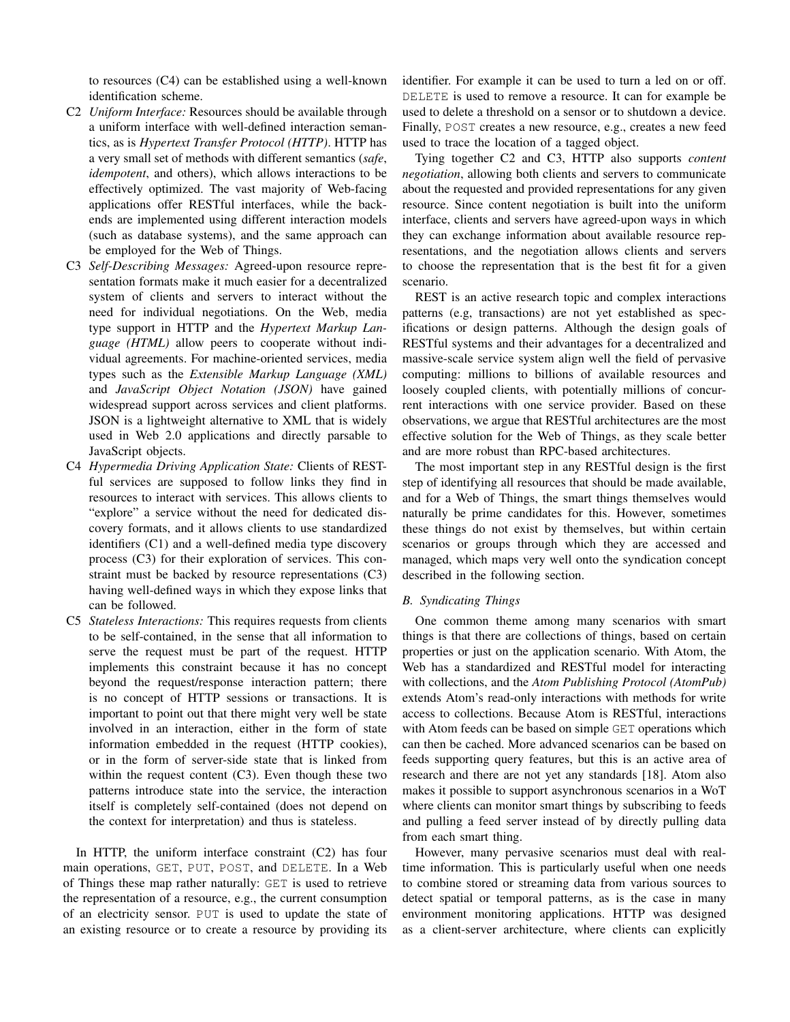to resources (C4) can be established using a well-known identification scheme.

- C2 *Uniform Interface:* Resources should be available through a uniform interface with well-defined interaction semantics, as is *Hypertext Transfer Protocol (HTTP)*. HTTP has a very small set of methods with different semantics (*safe*, *idempotent*, and others), which allows interactions to be effectively optimized. The vast majority of Web-facing applications offer RESTful interfaces, while the backends are implemented using different interaction models (such as database systems), and the same approach can be employed for the Web of Things.
- C3 *Self-Describing Messages:* Agreed-upon resource representation formats make it much easier for a decentralized system of clients and servers to interact without the need for individual negotiations. On the Web, media type support in HTTP and the *Hypertext Markup Language (HTML)* allow peers to cooperate without individual agreements. For machine-oriented services, media types such as the *Extensible Markup Language (XML)* and *JavaScript Object Notation (JSON)* have gained widespread support across services and client platforms. JSON is a lightweight alternative to XML that is widely used in Web 2.0 applications and directly parsable to JavaScript objects.
- C4 *Hypermedia Driving Application State:* Clients of RESTful services are supposed to follow links they find in resources to interact with services. This allows clients to "explore" a service without the need for dedicated discovery formats, and it allows clients to use standardized identifiers (C1) and a well-defined media type discovery process (C3) for their exploration of services. This constraint must be backed by resource representations (C3) having well-defined ways in which they expose links that can be followed.
- C5 *Stateless Interactions:* This requires requests from clients to be self-contained, in the sense that all information to serve the request must be part of the request. HTTP implements this constraint because it has no concept beyond the request/response interaction pattern; there is no concept of HTTP sessions or transactions. It is important to point out that there might very well be state involved in an interaction, either in the form of state information embedded in the request (HTTP cookies), or in the form of server-side state that is linked from within the request content  $(C3)$ . Even though these two patterns introduce state into the service, the interaction itself is completely self-contained (does not depend on the context for interpretation) and thus is stateless.

In HTTP, the uniform interface constraint  $(C2)$  has four main operations, GET, PUT, POST, and DELETE. In a Web of Things these map rather naturally: GET is used to retrieve the representation of a resource, e.g., the current consumption of an electricity sensor. PUT is used to update the state of an existing resource or to create a resource by providing its

identifier. For example it can be used to turn a led on or off. DELETE is used to remove a resource. It can for example be used to delete a threshold on a sensor or to shutdown a device. Finally, POST creates a new resource, e.g., creates a new feed used to trace the location of a tagged object.

Tying together C2 and C3, HTTP also supports *content negotiation*, allowing both clients and servers to communicate about the requested and provided representations for any given resource. Since content negotiation is built into the uniform interface, clients and servers have agreed-upon ways in which they can exchange information about available resource representations, and the negotiation allows clients and servers to choose the representation that is the best fit for a given scenario.

REST is an active research topic and complex interactions patterns (e.g, transactions) are not yet established as specifications or design patterns. Although the design goals of RESTful systems and their advantages for a decentralized and massive-scale service system align well the field of pervasive computing: millions to billions of available resources and loosely coupled clients, with potentially millions of concurrent interactions with one service provider. Based on these observations, we argue that RESTful architectures are the most effective solution for the Web of Things, as they scale better and are more robust than RPC-based architectures.

The most important step in any RESTful design is the first step of identifying all resources that should be made available, and for a Web of Things, the smart things themselves would naturally be prime candidates for this. However, sometimes these things do not exist by themselves, but within certain scenarios or groups through which they are accessed and managed, which maps very well onto the syndication concept described in the following section.

## *B. Syndicating Things*

One common theme among many scenarios with smart things is that there are collections of things, based on certain properties or just on the application scenario. With Atom, the Web has a standardized and RESTful model for interacting with collections, and the *Atom Publishing Protocol (AtomPub)* extends Atom's read-only interactions with methods for write access to collections. Because Atom is RESTful, interactions with Atom feeds can be based on simple GET operations which can then be cached. More advanced scenarios can be based on feeds supporting query features, but this is an active area of research and there are not yet any standards [18]. Atom also makes it possible to support asynchronous scenarios in a WoT where clients can monitor smart things by subscribing to feeds and pulling a feed server instead of by directly pulling data from each smart thing.

However, many pervasive scenarios must deal with realtime information. This is particularly useful when one needs to combine stored or streaming data from various sources to detect spatial or temporal patterns, as is the case in many environment monitoring applications. HTTP was designed as a client-server architecture, where clients can explicitly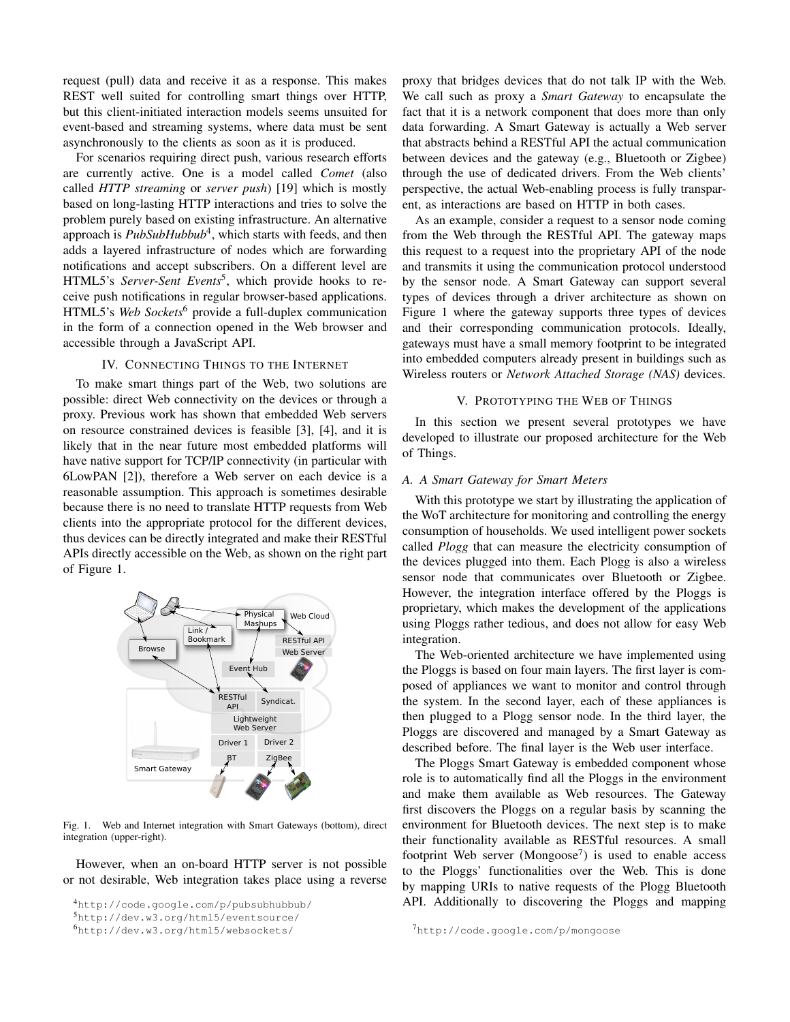request (pull) data and receive it as a response. This makes REST well suited for controlling smart things over HTTP, but this client-initiated interaction models seems unsuited for event-based and streaming systems, where data must be sent asynchronously to the clients as soon as it is produced.

For scenarios requiring direct push, various research efforts are currently active. One is a model called *Comet* (also called *HTTP streaming* or *server push*) [19] which is mostly based on long-lasting HTTP interactions and tries to solve the problem purely based on existing infrastructure. An alternative approach is *PubSubHubbub*<sup>4</sup>, which starts with feeds, and then adds a layered infrastructure of nodes which are forwarding notifications and accept subscribers. On a different level are HTML5's *Server-Sent Events*<sup>5</sup> , which provide hooks to receive push notifications in regular browser-based applications. HTML5's *Web Sockets*<sup>6</sup> provide a full-duplex communication in the form of a connection opened in the Web browser and accessible through a JavaScript API.

#### IV. CONNECTING THINGS TO THE INTERNET

To make smart things part of the Web, two solutions are possible: direct Web connectivity on the devices or through a proxy. Previous work has shown that embedded Web servers on resource constrained devices is feasible [3], [4], and it is likely that in the near future most embedded platforms will have native support for TCP/IP connectivity (in particular with 6LowPAN [2]), therefore a Web server on each device is a reasonable assumption. This approach is sometimes desirable because there is no need to translate HTTP requests from Web clients into the appropriate protocol for the different devices, thus devices can be directly integrated and make their RESTful APIs directly accessible on the Web, as shown on the right part of Figure 1.



Fig. 1. Web and Internet integration with Smart Gateways (bottom), direct integration (upper-right).

However, when an on-board HTTP server is not possible or not desirable, Web integration takes place using a reverse proxy that bridges devices that do not talk IP with the Web. We call such as proxy a *Smart Gateway* to encapsulate the fact that it is a network component that does more than only data forwarding. A Smart Gateway is actually a Web server that abstracts behind a RESTful API the actual communication between devices and the gateway (e.g., Bluetooth or Zigbee) through the use of dedicated drivers. From the Web clients' perspective, the actual Web-enabling process is fully transparent, as interactions are based on HTTP in both cases.

As an example, consider a request to a sensor node coming from the Web through the RESTful API. The gateway maps this request to a request into the proprietary API of the node and transmits it using the communication protocol understood by the sensor node. A Smart Gateway can support several types of devices through a driver architecture as shown on Figure 1 where the gateway supports three types of devices and their corresponding communication protocols. Ideally, gateways must have a small memory footprint to be integrated into embedded computers already present in buildings such as Wireless routers or *Network Attached Storage (NAS)* devices.

# V. PROTOTYPING THE WEB OF THINGS

In this section we present several prototypes we have developed to illustrate our proposed architecture for the Web of Things.

#### *A. A Smart Gateway for Smart Meters*

With this prototype we start by illustrating the application of the WoT architecture for monitoring and controlling the energy consumption of households. We used intelligent power sockets called *Plogg* that can measure the electricity consumption of the devices plugged into them. Each Plogg is also a wireless sensor node that communicates over Bluetooth or Zigbee. However, the integration interface offered by the Ploggs is proprietary, which makes the development of the applications using Ploggs rather tedious, and does not allow for easy Web integration.

The Web-oriented architecture we have implemented using the Ploggs is based on four main layers. The first layer is composed of appliances we want to monitor and control through the system. In the second layer, each of these appliances is then plugged to a Plogg sensor node. In the third layer, the Ploggs are discovered and managed by a Smart Gateway as described before. The final layer is the Web user interface.

The Ploggs Smart Gateway is embedded component whose role is to automatically find all the Ploggs in the environment and make them available as Web resources. The Gateway first discovers the Ploggs on a regular basis by scanning the environment for Bluetooth devices. The next step is to make their functionality available as RESTful resources. A small footprint Web server (Mongoose<sup>7</sup>) is used to enable access to the Ploggs' functionalities over the Web. This is done by mapping URIs to native requests of the Plogg Bluetooth API. Additionally to discovering the Ploggs and mapping

<sup>4</sup>http://code.google.com/p/pubsubhubbub/

<sup>5</sup>http://dev.w3.org/html5/eventsource/

<sup>6</sup>http://dev.w3.org/html5/websockets/

<sup>7</sup>http://code.google.com/p/mongoose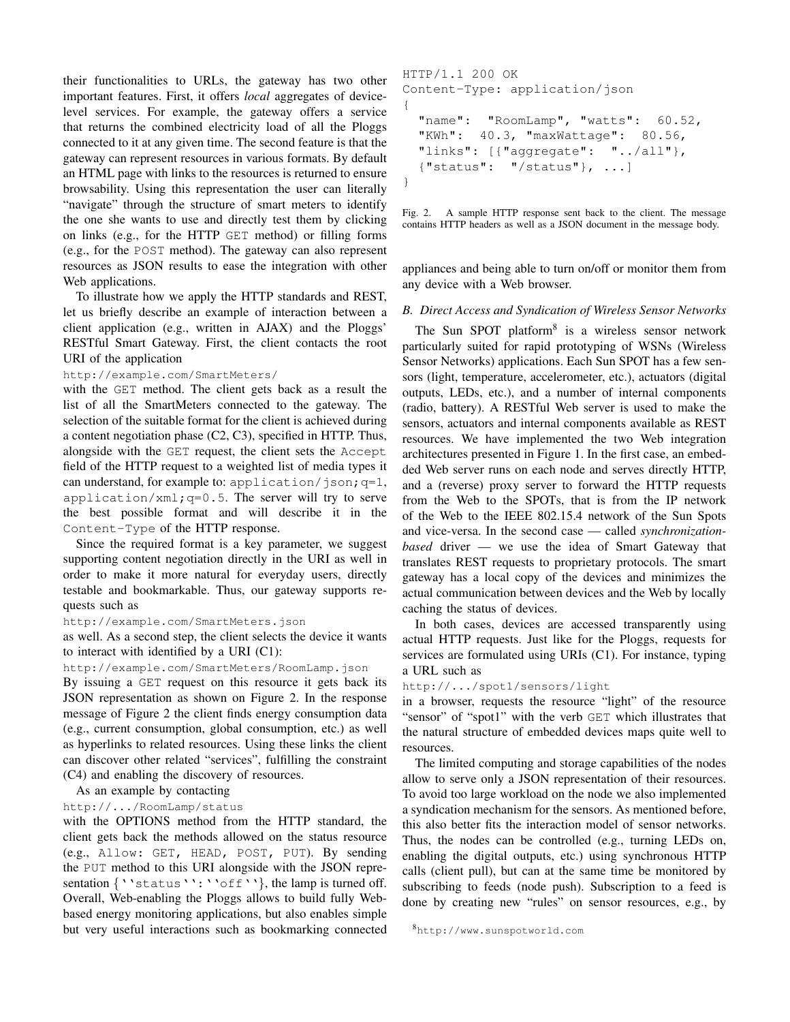their functionalities to URLs, the gateway has two other important features. First, it offers *local* aggregates of devicelevel services. For example, the gateway offers a service that returns the combined electricity load of all the Ploggs connected to it at any given time. The second feature is that the gateway can represent resources in various formats. By default an HTML page with links to the resources is returned to ensure browsability. Using this representation the user can literally "navigate" through the structure of smart meters to identify the one she wants to use and directly test them by clicking on links (e.g., for the HTTP GET method) or filling forms (e.g., for the POST method). The gateway can also represent resources as JSON results to ease the integration with other Web applications.

To illustrate how we apply the HTTP standards and REST, let us briefly describe an example of interaction between a client application (e.g., written in AJAX) and the Ploggs' RESTful Smart Gateway. First, the client contacts the root URI of the application

## http://example.com/SmartMeters/

with the GET method. The client gets back as a result the list of all the SmartMeters connected to the gateway. The selection of the suitable format for the client is achieved during a content negotiation phase (C2, C3), specified in HTTP. Thus, alongside with the GET request, the client sets the Accept field of the HTTP request to a weighted list of media types it can understand, for example to: application/json; q=1, application/xml; $q=0.5$ . The server will try to serve the best possible format and will describe it in the Content-Type of the HTTP response.

Since the required format is a key parameter, we suggest supporting content negotiation directly in the URI as well in order to make it more natural for everyday users, directly testable and bookmarkable. Thus, our gateway supports requests such as

#### http://example.com/SmartMeters.json

as well. As a second step, the client selects the device it wants to interact with identified by a URI (C1):

## http://example.com/SmartMeters/RoomLamp.json

By issuing a GET request on this resource it gets back its JSON representation as shown on Figure 2. In the response message of Figure 2 the client finds energy consumption data (e.g., current consumption, global consumption, etc.) as well as hyperlinks to related resources. Using these links the client can discover other related "services", fulfilling the constraint (C4) and enabling the discovery of resources.

#### As an example by contacting

## http://.../RoomLamp/status

with the OPTIONS method from the HTTP standard, the client gets back the methods allowed on the status resource (e.g., Allow: GET, HEAD, POST, PUT). By sending the PUT method to this URI alongside with the JSON representation  $\{$  'status'': ''off''}, the lamp is turned off. Overall, Web-enabling the Ploggs allows to build fully Webbased energy monitoring applications, but also enables simple but very useful interactions such as bookmarking connected

```
HTTP/1.1 200 OK
Content-Type: application/json
{
  "name": "RoomLamp", "watts": 60.52,
  "KWh": 40.3, "maxWattage": 80.56,
  "links": [{"aggregate": "../all"},
  {"status": "/status"}, ...]
}
```
Fig. 2. A sample HTTP response sent back to the client. The message contains HTTP headers as well as a JSON document in the message body.

appliances and being able to turn on/off or monitor them from any device with a Web browser.

#### *B. Direct Access and Syndication of Wireless Sensor Networks*

The Sun SPOT platform<sup>8</sup> is a wireless sensor network particularly suited for rapid prototyping of WSNs (Wireless Sensor Networks) applications. Each Sun SPOT has a few sensors (light, temperature, accelerometer, etc.), actuators (digital outputs, LEDs, etc.), and a number of internal components (radio, battery). A RESTful Web server is used to make the sensors, actuators and internal components available as REST resources. We have implemented the two Web integration architectures presented in Figure 1. In the first case, an embedded Web server runs on each node and serves directly HTTP, and a (reverse) proxy server to forward the HTTP requests from the Web to the SPOTs, that is from the IP network of the Web to the IEEE 802.15.4 network of the Sun Spots and vice-versa. In the second case — called *synchronizationbased* driver — we use the idea of Smart Gateway that translates REST requests to proprietary protocols. The smart gateway has a local copy of the devices and minimizes the actual communication between devices and the Web by locally caching the status of devices.

In both cases, devices are accessed transparently using actual HTTP requests. Just like for the Ploggs, requests for services are formulated using URIs (C1). For instance, typing a URL such as

#### http://.../spot1/sensors/light

in a browser, requests the resource "light" of the resource "sensor" of "spot1" with the verb GET which illustrates that the natural structure of embedded devices maps quite well to resources.

The limited computing and storage capabilities of the nodes allow to serve only a JSON representation of their resources. To avoid too large workload on the node we also implemented a syndication mechanism for the sensors. As mentioned before, this also better fits the interaction model of sensor networks. Thus, the nodes can be controlled (e.g., turning LEDs on, enabling the digital outputs, etc.) using synchronous HTTP calls (client pull), but can at the same time be monitored by subscribing to feeds (node push). Subscription to a feed is done by creating new "rules" on sensor resources, e.g., by

<sup>8</sup>http://www.sunspotworld.com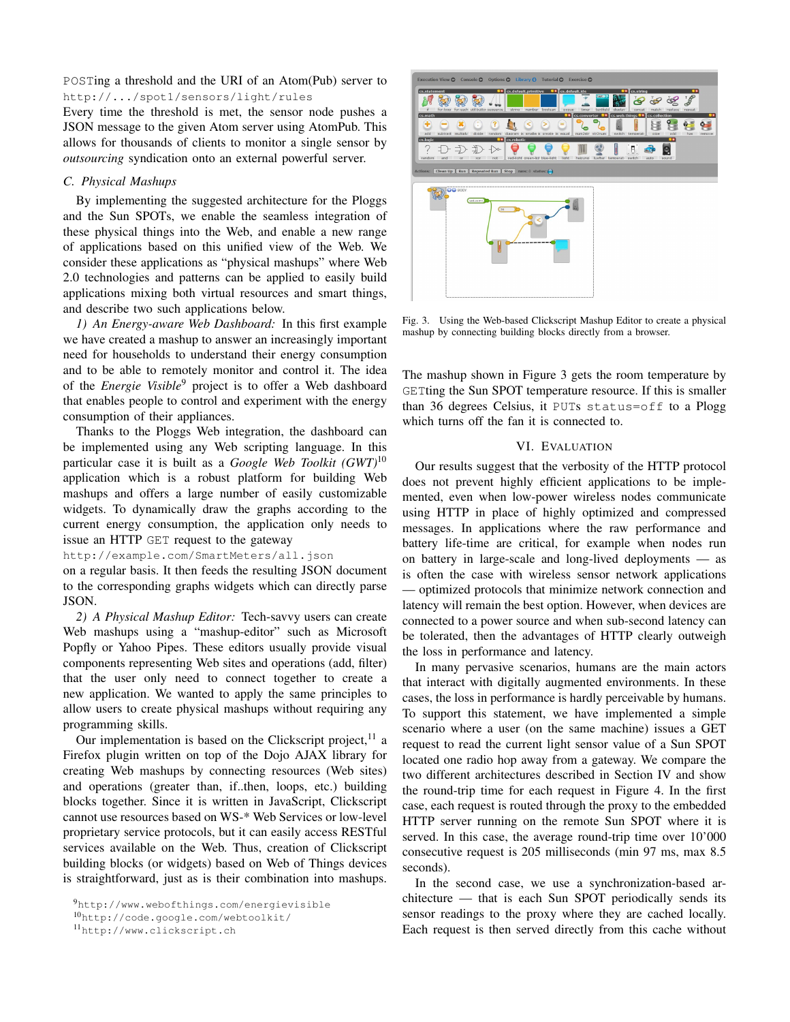POSTing a threshold and the URI of an Atom(Pub) server to http://.../spot1/sensors/light/rules

Every time the threshold is met, the sensor node pushes a JSON message to the given Atom server using AtomPub. This allows for thousands of clients to monitor a single sensor by *outsourcing* syndication onto an external powerful server.

#### *C. Physical Mashups*

By implementing the suggested architecture for the Ploggs and the Sun SPOTs, we enable the seamless integration of these physical things into the Web, and enable a new range of applications based on this unified view of the Web. We consider these applications as "physical mashups" where Web 2.0 technologies and patterns can be applied to easily build applications mixing both virtual resources and smart things, and describe two such applications below.

*1) An Energy-aware Web Dashboard:* In this first example we have created a mashup to answer an increasingly important need for households to understand their energy consumption and to be able to remotely monitor and control it. The idea of the *Energie Visible*<sup>9</sup> project is to offer a Web dashboard that enables people to control and experiment with the energy consumption of their appliances.

Thanks to the Ploggs Web integration, the dashboard can be implemented using any Web scripting language. In this particular case it is built as a *Google Web Toolkit (GWT)*<sup>10</sup> application which is a robust platform for building Web mashups and offers a large number of easily customizable widgets. To dynamically draw the graphs according to the current energy consumption, the application only needs to issue an HTTP GET request to the gateway

http://example.com/SmartMeters/all.json

on a regular basis. It then feeds the resulting JSON document to the corresponding graphs widgets which can directly parse JSON.

*2) A Physical Mashup Editor:* Tech-savvy users can create Web mashups using a "mashup-editor" such as Microsoft Popfly or Yahoo Pipes. These editors usually provide visual components representing Web sites and operations (add, filter) that the user only need to connect together to create a new application. We wanted to apply the same principles to allow users to create physical mashups without requiring any programming skills.

Our implementation is based on the Clickscript project, $11$  a Firefox plugin written on top of the Dojo AJAX library for creating Web mashups by connecting resources (Web sites) and operations (greater than, if..then, loops, etc.) building blocks together. Since it is written in JavaScript, Clickscript cannot use resources based on WS-\* Web Services or low-level proprietary service protocols, but it can easily access RESTful services available on the Web. Thus, creation of Clickscript building blocks (or widgets) based on Web of Things devices is straightforward, just as is their combination into mashups.

<sup>11</sup>http://www.clickscript.ch



Fig. 3. Using the Web-based Clickscript Mashup Editor to create a physical mashup by connecting building blocks directly from a browser.

The mashup shown in Figure 3 gets the room temperature by GETting the Sun SPOT temperature resource. If this is smaller than 36 degrees Celsius, it PUTs status=off to a Plogg which turns off the fan it is connected to.

## VI. EVALUATION

Our results suggest that the verbosity of the HTTP protocol does not prevent highly efficient applications to be implemented, even when low-power wireless nodes communicate using HTTP in place of highly optimized and compressed messages. In applications where the raw performance and battery life-time are critical, for example when nodes run on battery in large-scale and long-lived deployments — as is often the case with wireless sensor network applications — optimized protocols that minimize network connection and latency will remain the best option. However, when devices are connected to a power source and when sub-second latency can be tolerated, then the advantages of HTTP clearly outweigh the loss in performance and latency.

In many pervasive scenarios, humans are the main actors that interact with digitally augmented environments. In these cases, the loss in performance is hardly perceivable by humans. To support this statement, we have implemented a simple scenario where a user (on the same machine) issues a GET request to read the current light sensor value of a Sun SPOT located one radio hop away from a gateway. We compare the two different architectures described in Section IV and show the round-trip time for each request in Figure 4. In the first case, each request is routed through the proxy to the embedded HTTP server running on the remote Sun SPOT where it is served. In this case, the average round-trip time over 10'000 consecutive request is 205 milliseconds (min 97 ms, max 8.5 seconds).

In the second case, we use a synchronization-based architecture — that is each Sun SPOT periodically sends its sensor readings to the proxy where they are cached locally. Each request is then served directly from this cache without

<sup>9</sup>http://www.webofthings.com/energievisible

<sup>10</sup>http://code.google.com/webtoolkit/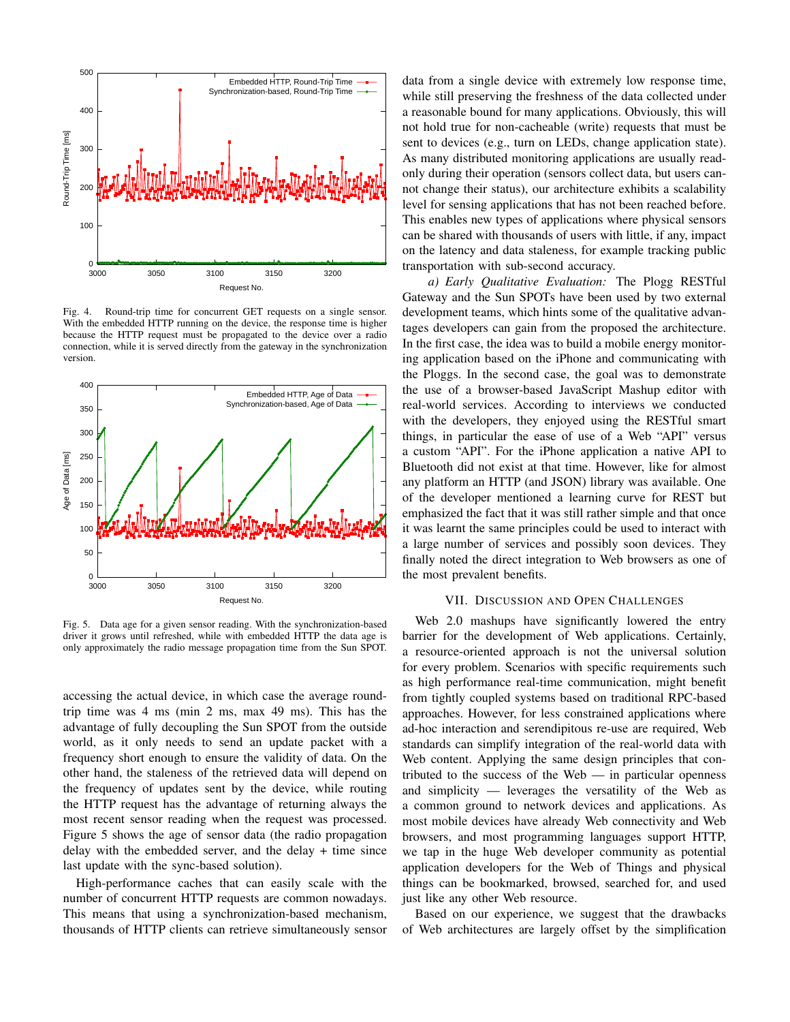

Fig. 4. Round-trip time for concurrent GET requests on a single sensor. With the embedded HTTP running on the device, the response time is higher because the HTTP request must be propagated to the device over a radio connection, while it is served directly from the gateway in the synchronization version.



Fig. 5. Data age for a given sensor reading. With the synchronization-based driver it grows until refreshed, while with embedded HTTP the data age is only approximately the radio message propagation time from the Sun SPOT.

accessing the actual device, in which case the average roundtrip time was 4 ms (min 2 ms, max 49 ms). This has the advantage of fully decoupling the Sun SPOT from the outside world, as it only needs to send an update packet with a frequency short enough to ensure the validity of data. On the other hand, the staleness of the retrieved data will depend on the frequency of updates sent by the device, while routing the HTTP request has the advantage of returning always the most recent sensor reading when the request was processed. Figure 5 shows the age of sensor data (the radio propagation delay with the embedded server, and the delay + time since last update with the sync-based solution).

High-performance caches that can easily scale with the number of concurrent HTTP requests are common nowadays. This means that using a synchronization-based mechanism, thousands of HTTP clients can retrieve simultaneously sensor

data from a single device with extremely low response time, while still preserving the freshness of the data collected under a reasonable bound for many applications. Obviously, this will not hold true for non-cacheable (write) requests that must be sent to devices (e.g., turn on LEDs, change application state). As many distributed monitoring applications are usually readonly during their operation (sensors collect data, but users cannot change their status), our architecture exhibits a scalability level for sensing applications that has not been reached before. This enables new types of applications where physical sensors can be shared with thousands of users with little, if any, impact on the latency and data staleness, for example tracking public transportation with sub-second accuracy.

*a) Early Qualitative Evaluation:* The Plogg RESTful Gateway and the Sun SPOTs have been used by two external development teams, which hints some of the qualitative advantages developers can gain from the proposed the architecture. In the first case, the idea was to build a mobile energy monitoring application based on the iPhone and communicating with the Ploggs. In the second case, the goal was to demonstrate the use of a browser-based JavaScript Mashup editor with real-world services. According to interviews we conducted with the developers, they enjoyed using the RESTful smart things, in particular the ease of use of a Web "API" versus a custom "API". For the iPhone application a native API to Bluetooth did not exist at that time. However, like for almost any platform an HTTP (and JSON) library was available. One of the developer mentioned a learning curve for REST but emphasized the fact that it was still rather simple and that once it was learnt the same principles could be used to interact with a large number of services and possibly soon devices. They finally noted the direct integration to Web browsers as one of the most prevalent benefits.

## VII. DISCUSSION AND OPEN CHALLENGES

Web 2.0 mashups have significantly lowered the entry barrier for the development of Web applications. Certainly, a resource-oriented approach is not the universal solution for every problem. Scenarios with specific requirements such as high performance real-time communication, might benefit from tightly coupled systems based on traditional RPC-based approaches. However, for less constrained applications where ad-hoc interaction and serendipitous re-use are required, Web standards can simplify integration of the real-world data with Web content. Applying the same design principles that contributed to the success of the Web — in particular openness and simplicity — leverages the versatility of the Web as a common ground to network devices and applications. As most mobile devices have already Web connectivity and Web browsers, and most programming languages support HTTP, we tap in the huge Web developer community as potential application developers for the Web of Things and physical things can be bookmarked, browsed, searched for, and used just like any other Web resource.

Based on our experience, we suggest that the drawbacks of Web architectures are largely offset by the simplification